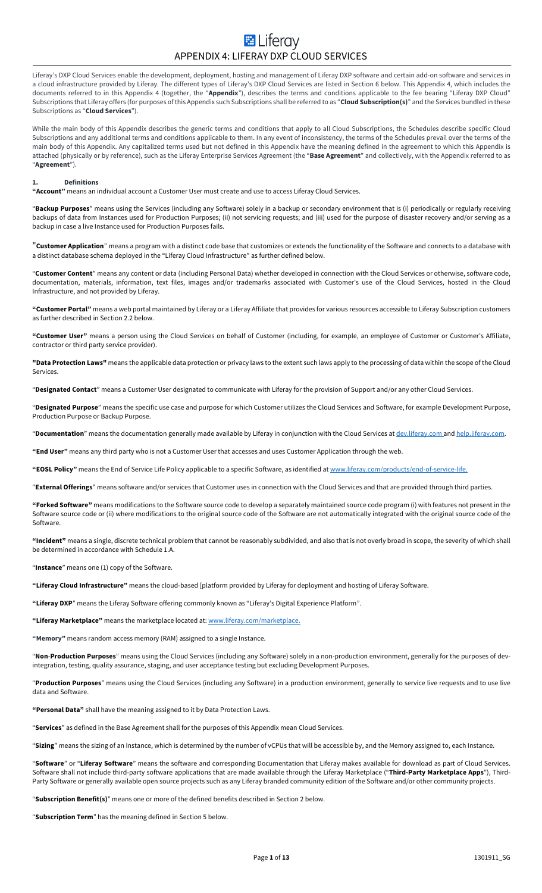# **E** Liferay APPENDIX 4: LIFERAY DXP CLOUD SERVICES

Liferay's DXP Cloud Services enable the development, deployment, hosting and management of Liferay DXP software and certain add-on software and services in a cloud infrastructure provided by Liferay. The different types of Liferay's DXP Cloud Services are listed in Section 6 below. This Appendix 4, which includes the documents referred to in this Appendix 4 (together, the "**Appendix**"), describes the terms and conditions applicable to the fee bearing "Liferay DXP Cloud" Subscriptions that Liferay offers (for purposes of this Appendix such Subscriptions shall be referred to as "**Cloud Subscription(s)**" and the Services bundled in these Subscriptions as "**Cloud Services**").

While the main body of this Appendix describes the generic terms and conditions that apply to all Cloud Subscriptions, the Schedules describe specific Cloud Subscriptions and any additional terms and conditions applicable to them. In any event of inconsistency, the terms of the Schedules prevail over the terms of the main body of this Appendix. Any capitalized terms used but not defined in this Appendix have the meaning defined in the agreement to which this Appendix is attached (physically or by reference), such as the Liferay Enterprise Services Agreement (the "**Base Agreement**" and collectively, with the Appendix referred to as "**Agreement**").

# **1. Definitions**

**"Account"** means an individual account a Customer User must create and use to access Liferay Cloud Services.

"**Backup Purposes**" means using the Services (including any Software) solely in a backup or secondary environment that is (i) periodically or regularly receiving backups of data from Instances used for Production Purposes; (ii) not servicing requests; and (iii) used for the purpose of disaster recovery and/or serving as a backup in case a live Instance used for Production Purposes fails.

"**Customer Application**" means a program with a distinct code base that customizes or extends the functionality of the Software and connects to a database with a distinct database schema deployed in the "Liferay Cloud Infrastructure" as further defined below.

"**Customer Content**" means any content or data (including Personal Data) whether developed in connection with the Cloud Services or otherwise, software code, documentation, materials, information, text files, images and/or trademarks associated with Customer's use of the Cloud Services, hosted in the Cloud Infrastructure, and not provided by Liferay.

**"Customer Portal"** means a web portal maintained by Liferay or a Liferay Affiliate that provides for various resources accessible to Liferay Subscription customers as further described in Section 2.2 below.

**"Customer User"** means a person using the Cloud Services on behalf of Customer (including, for example, an employee of Customer or Customer's Affiliate, contractor or third party service provider).

**"Data Protection Laws"** means the applicable data protection or privacy laws to the extent such laws apply to the processing of data within the scope of the Cloud Services.

"**Designated Contact**" means a Customer User designated to communicate with Liferay for the provision of Support and/or any other Cloud Services.

"**Designated Purpose**" means the specific use case and purpose for which Customer utilizes the Cloud Services and Software, for example Development Purpose, Production Purpose or Backup Purpose.

"**Documentation**" means the documentation generally made available by Liferay in conjunction with the Cloud Services at dev.liferay.com and help.liferay.com.

**"End User"** means any third party who is not a Customer User that accesses and uses Customer Application through the web.

**"EOSL Policy"** means the End of Service Life Policy applicable to a specific Software, as identified at www.liferay.com/products/end-of-service-life.

"**External Offerings**" means software and/or services that Customer uses in connection with the Cloud Services and that are provided through third parties.

**"Forked Software"** means modifications to the Software source code to develop a separately maintained source code program (i) with features not present in the Software source code or (ii) where modifications to the original source code of the Software are not automatically integrated with the original source code of the Software.

**"Incident"** means a single, discrete technical problem that cannot be reasonably subdivided, and also that is not overly broad in scope, the severity of which shall be determined in accordance with Schedule 1.A.

"**Instance**" means one (1) copy of the Software.

**"Liferay Cloud Infrastructure"** means the cloud-based [platform provided by Liferay for deployment and hosting of Liferay Software.

**"Liferay DXP**" means the Liferay Software offering commonly known as "Liferay's Digital Experience Platform".

**"Liferay Marketplace"** means the marketplace located at: www.liferay.com/marketplace.

**"Memory"** means random access memory (RAM) assigned to a single Instance.

"**Non**-**Production Purposes**" means using the Cloud Services (including any Software) solely in a non-production environment, generally for the purposes of devintegration, testing, quality assurance, staging, and user acceptance testing but excluding Development Purposes.

"**Production Purposes**" means using the Cloud Services (including any Software) in a production environment, generally to service live requests and to use live data and Software.

**"Personal Data"** shall have the meaning assigned to it by Data Protection Laws.

"**Services**" as defined in the Base Agreement shall for the purposes of this Appendix mean Cloud Services.

"**Sizing**" means the sizing of an Instance, which is determined by the number of vCPUs that will be accessible by, and the Memory assigned to, each Instance.

"**Software**" or "**Liferay Software**" means the software and corresponding Documentation that Liferay makes available for download as part of Cloud Services. Software shall not include third-party software applications that are made available through the Liferay Marketplace ("Third-Party Marketplace Apps"), Third-Party Software or generally available open source projects such as any Liferay branded community edition of the Software and/or other community projects.

"**Subscription Benefit(s)**" means one or more of the defined benefits described in Section 2 below.

"**Subscription Term**" has the meaning defined in Section 5 below.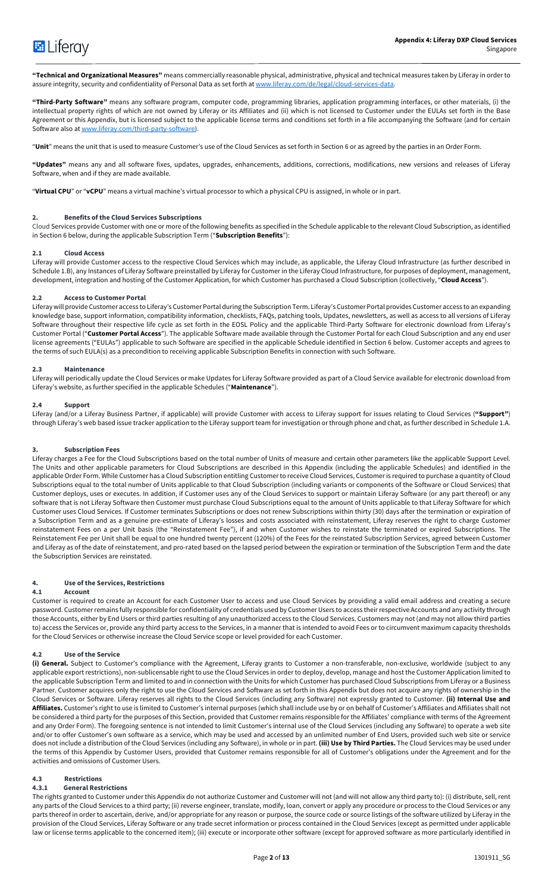

**"Technical and Organizational Measures"** means commercially reasonable physical, administrative, physical and technical measures taken by Liferay in order to assure integrity, security and confidentiality of Personal Data as set forth at www.liferay.com/de/legal/cloud-services-data.

**"Third-Party Software"** means any software program, computer code, programming libraries, application programming interfaces, or other materials, (i) the intellectual property rights of which are not owned by Liferay or its Affiliates and (ii) which is not licensed to Customer under the EULAs set forth in the Base Agreement or this Appendix, but is licensed subject to the applicable license terms and conditions set forth in a file accompanying the Software (and for certain Software also at www.liferay.com/third-party-software).

"**Unit**" means the unit that is used to measure Customer's use of the Cloud Services as set forth in Section 6 or as agreed by the parties in an Order Form.

**"Updates"** means any and all software fixes, updates, upgrades, enhancements, additions, corrections, modifications, new versions and releases of Liferay Software, when and if they are made available.

"**Virtual CPU**" or "**vCPU**" means a virtual machine's virtual processor to which a physical CPU is assigned, in whole or in part.

# **2. Benefits of the Cloud Services Subscriptions**

Cloud Services provide Customer with one or more of the following benefits as specified in the Schedule applicable to the relevant Cloud Subscription, as identified in Section 6 below, during the applicable Subscription Term ("**Subscription Benefits**"):

# **2.1 Cloud Access**

Liferay will provide Customer access to the respective Cloud Services which may include, as applicable, the Liferay Cloud Infrastructure (as further described in Schedule 1.B), any Instances of Liferay Software preinstalled by Liferay for Customer in the Liferay Cloud Infrastructure, for purposes of deployment, management, development, integration and hosting of the Customer Application, for which Customer has purchased a Cloud Subscription (collectively, "**Cloud Access**").

#### **2.2 Access to Customer Portal**

Liferay will provide Customer access to Liferay's Customer Portal during the Subscription Term. Liferay's Customer Portal provides Customer access to an expanding knowledge base, support information, compatibility information, checklists, FAQs, patching tools, Updates, newsletters, as well as access to all versions of Liferay Software throughout their respective life cycle as set forth in the EOSL Policy and the applicable Third-Party Software for electronic download from Liferay's Customer Portal ("**Customer Portal Access**"). The applicable Software made available through the Customer Portal for each Cloud Subscription and any end user license agreements ("EULAs") applicable to such Software are specified in the applicable Schedule identified in Section 6 below. Customer accepts and agrees to the terms of such EULA(s) as a precondition to receiving applicable Subscription Benefits in connection with such Software.

# **2.3 Maintenance**

Liferay will periodically update the Cloud Services or make Updates for Liferay Software provided as part of a Cloud Service available for electronic download from Liferay's website, as further specified in the applicable Schedules ("**Maintenance**").

#### **2.4 Support**

Liferay (and/or a Liferay Business Partner, if applicable) will provide Customer with access to Liferay support for issues relating to Cloud Services (**"Support"**) through Liferay's web based issue tracker application to the Liferay support team for investigation or through phone and chat, as further described in Schedule 1.A.

# **3. Subscription Fees**

Liferay charges a Fee for the Cloud Subscriptions based on the total number of Units of measure and certain other parameters like the applicable Support Level. The Units and other applicable parameters for Cloud Subscriptions are described in this Appendix (including the applicable Schedules) and identified in the applicable Order Form. While Customer has a Cloud Subscription entitling Customer to receive Cloud Services, Customer is required to purchase a quantity of Cloud Subscriptions equal to the total number of Units applicable to that Cloud Subscription (including variants or components of the Software or Cloud Services) that Customer deploys, uses or executes. In addition, if Customer uses any of the Cloud Services to support or maintain Liferay Software (or any part thereof) or any software that is not Liferay Software then Customer must purchase Cloud Subscriptions equal to the amount of Units applicable to that Liferay Software for which Customer uses Cloud Services. If Customer terminates Subscriptions or does not renew Subscriptions within thirty (30) days after the termination or expiration of a Subscription Term and as a genuine pre-estimate of Liferay's losses and costs associated with reinstatement, Liferay reserves the right to charge Customer reinstatement Fees on a per Unit basis (the "Reinstatement Fee"), if and when Customer wishes to reinstate the terminated or expired Subscriptions. The Reinstatement Fee per Unit shall be equal to one hundred twenty percent (120%) of the Fees for the reinstated Subscription Services, agreed between Customer and Liferay as of the date of reinstatement, and pro-rated based on the lapsed period between the expiration or termination of the Subscription Term and the date the Subscription Services are reinstated.

# **4. Use of the Services, Restrictions**

#### **4.1 Account**

Customer is required to create an Account for each Customer User to access and use Cloud Services by providing a valid email address and creating a secure password. Customer remains fully responsible for confidentiality of credentials used by Customer Users to access theirrespective Accounts and any activity through those Accounts, either by End Users or third parties resulting of any unauthorized access to the Cloud Services. Customers may not (and may not allow third parties to) access the Services or, provide any third party access to the Services, in a manner that is intended to avoid Fees or to circumvent maximum capacity thresholds for the Cloud Services or otherwise increase the Cloud Service scope or level provided for each Customer.

# **4.2 Use of the Service**

**(i) General.** Subject to Customer's compliance with the Agreement, Liferay grants to Customer a non-transferable, non-exclusive, worldwide (subject to any applicable export restrictions), non-sublicensable right to use the Cloud Services in order to deploy, develop, manage and host the Customer Application limited to the applicable Subscription Term and limited to and in connection with the Units for which Customer has purchased Cloud Subscriptions from Liferay or a Business Partner. Customer acquires only the right to use the Cloud Services and Software as set forth in this Appendix but does not acquire any rights of ownership in the Cloud Services or Software. Liferay reserves all rights to the Cloud Services (including any Software) not expressly granted to Customer. **(ii) Internal Use and Affiliates.** Customer's right to use is limited to Customer's internal purposes (which shall include use by or on behalf of Customer's Affiliates and Affiliates shall not be considered a third party for the purposes of this Section, provided that Customer remains responsible for the Affiliates' compliance with terms of the Agreement and any Order Form). The foregoing sentence is not intended to limit Customer's internal use of the Cloud Services (including any Software) to operate a web site and/or to offer Customer's own software as a service, which may be used and accessed by an unlimited number of End Users, provided such web site or service does not include a distribution of the Cloud Services (including any Software), in whole or in part. **(iii) Use by Third Parties.** The Cloud Services may be used under the terms of this Appendix by Customer Users, provided that Customer remains responsible for all of Customer's obligations under the Agreement and for the activities and omissions of Customer Users.

# **4.3 Restrictions**

# **4.3.1 General Restrictions**

The rights granted to Customer under this Appendix do not authorize Customer and Customer will not (and will not allow any third party to): (i) distribute, sell, rent any parts of the Cloud Services to a third party; (ii) reverse engineer, translate, modify, loan, convert or apply any procedure or process to the Cloud Services or any parts thereof in order to ascertain, derive, and/or appropriate for any reason or purpose, the source code or source listings of the software utilized by Liferay in the provision of the Cloud Services, Liferay Software or any trade secret information or process contained in the Cloud Services (except as permitted under applicable law or license terms applicable to the concerned item); (iii) execute or incorporate other software (except for approved software as more particularly identified in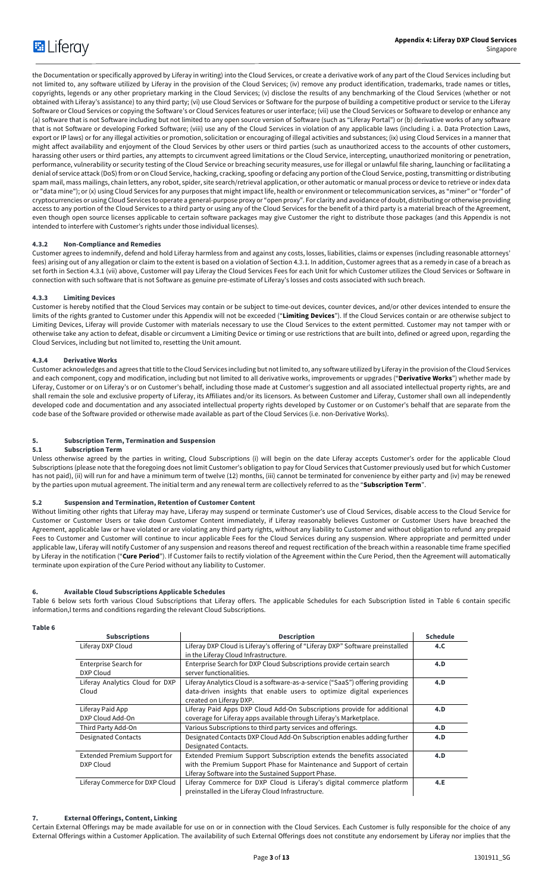the Documentation or specifically approved by Liferay in writing) into the Cloud Services, or create a derivative work of any part of the Cloud Services including but not limited to, any software utilized by Liferay in the provision of the Cloud Services; (iv) remove any product identification, trademarks, trade names or titles, copyrights, legends or any other proprietary marking in the Cloud Services; (v) disclose the results of any benchmarking of the Cloud Services (whether or not obtained with Liferay's assistance) to any third party; (vi) use Cloud Services or Software for the purpose of building a competitive product or service to the Liferay Software or Cloud Services or copying the Software's or Cloud Services features or user interface; (vii) use the Cloud Services or Software to develop or enhance any (a) software that is not Software including but not limited to any open source version of Software (such as "Liferay Portal") or (b) derivative works of any software that is not Software or developing Forked Software; (viii) use any of the Cloud Services in violation of any applicable laws (including i. a. Data Protection Laws, export or IP laws) or for any illegal activities or promotion, solicitation or encouraging of illegal activities and substances; (ix) using Cloud Services in a manner that might affect availability and enjoyment of the Cloud Services by other users or third parties (such as unauthorized access to the accounts of other customers, harassing other users or third parties, any attempts to circumvent agreed limitations or the Cloud Service, intercepting, unauthorized monitoring or penetration, performance, vulnerability or security testing of the Cloud Service or breaching security measures, use for illegal or unlawful file sharing, launching or facilitating a denial of service attack (DoS) from or on Cloud Service, hacking, cracking, spoofing or defacing any portion of the Cloud Service, posting, transmitting or distributing spam mail, mass mailings, chain letters, any robot, spider, site search/retrieval application, or other automatic or manual process or device to retrieve or index data or "data mine"); or (x) using Cloud Services for any purposes that might impact life, health or environment or telecommunication services, as "miner" or "forder" of cryptocurrencies or using Cloud Services to operate a general-purpose proxy or "open proxy". For clarity and avoidance of doubt, distributing or otherwise providing access to any portion of the Cloud Services to a third party or using any of the Cloud Services for the benefit of a third party is a material breach of the Agreement, even though open source licenses applicable to certain software packages may give Customer the right to distribute those packages (and this Appendix is not intended to interfere with Customer's rights under those individual licenses).

# **4.3.2 Non-Compliance and Remedies**

Customer agrees to indemnify, defend and hold Liferay harmless from and against any costs, losses, liabilities, claims or expenses (including reasonable attorneys' fees) arising out of any allegation or claim to the extent is based on a violation of Section 4.3.1. In addition, Customer agrees that as a remedy in case of a breach as set forth in Section 4.3.1 (vii) above, Customer will pay Liferay the Cloud Services Fees for each Unit for which Customer utilizes the Cloud Services or Software in connection with such software that is not Software as genuine pre-estimate of Liferay's losses and costs associated with such breach.

# **4.3.3 Limiting Devices**

Customer is hereby notified that the Cloud Services may contain or be subject to time-out devices, counter devices, and/or other devices intended to ensure the limits of the rights granted to Customer under this Appendix will not be exceeded ("**Limiting Devices**"). If the Cloud Services contain or are otherwise subject to Limiting Devices, Liferay will provide Customer with materials necessary to use the Cloud Services to the extent permitted. Customer may not tamper with or otherwise take any action to defeat, disable or circumvent a Limiting Device or timing or use restrictions that are built into, defined or agreed upon, regarding the Cloud Services, including but not limited to, resetting the Unit amount.

# **4.3.4 Derivative Works**

Customer acknowledges and agrees that title to the Cloud Services including but not limited to, any software utilized by Liferay in the provision of the Cloud Services and each component, copy and modification, including but not limited to all derivative works, improvements or upgrades ("**Derivative Works**") whether made by Liferay, Customer or on Liferay's or on Customer's behalf, including those made at Customer's suggestion and all associated intellectual property rights, are and shall remain the sole and exclusive property of Liferay, its Affiliates and/or its licensors. As between Customer and Liferay, Customer shall own all independently developed code and documentation and any associated intellectual property rights developed by Customer or on Customer's behalf that are separate from the code base of the Software provided or otherwise made available as part of the Cloud Services (i.e. non-Derivative Works).

#### **5. Subscription Term, Termination and Suspension**

# **5.1 Subscription Term**

Unless otherwise agreed by the parties in writing, Cloud Subscriptions (i) will begin on the date Liferay accepts Customer's order for the applicable Cloud Subscriptions (please note that the foregoing does not limit Customer's obligation to pay for Cloud Services that Customer previously used but for which Customer has not paid), (ii) will run for and have a minimum term of twelve (12) months, (iii) cannot be terminated for convenience by either party and (iv) may be renewed by the parties upon mutual agreement. The initial term and any renewal term are collectively referred to as the "**Subscription Term**".

#### **5.2 Suspension and Termination, Retention of Customer Content**

Without limiting other rights that Liferay may have, Liferay may suspend or terminate Customer's use of Cloud Services, disable access to the Cloud Service for Customer or Customer Users or take down Customer Content immediately, if Liferay reasonably believes Customer or Customer Users have breached the Agreement, applicable law or have violated or are violating any third party rights, without any liability to Customer and without obligation to refund any prepaid Fees to Customer and Customer will continue to incur applicable Fees for the Cloud Services during any suspension. Where appropriate and permitted under applicable law, Liferay will notify Customer of any suspension and reasons thereof and request rectification of the breach within a reasonable time frame specified by Liferay in the notification ("**Cure Period**"). If Customer fails to rectify violation of the Agreement within the Cure Period, then the Agreement will automatically terminate upon expiration of the Cure Period without any liability to Customer.

# **6. Available Cloud Subscriptions Applicable Schedules**

Table 6 below sets forth various Cloud Subscriptions that Liferay offers. The applicable Schedules for each Subscription listed in Table 6 contain specific information,l terms and conditions regarding the relevant Cloud Subscriptions.

# **Table 6**

| <b>Subscriptions</b>                | <b>Description</b>                                                             | <b>Schedule</b> |
|-------------------------------------|--------------------------------------------------------------------------------|-----------------|
| Liferay DXP Cloud                   | Liferay DXP Cloud is Liferay's offering of "Liferay DXP" Software preinstalled | 4.C.            |
|                                     | in the Liferay Cloud Infrastructure.                                           |                 |
| Enterprise Search for               | Enterprise Search for DXP Cloud Subscriptions provide certain search           | 4.D             |
| DXP Cloud                           | server functionalities.                                                        |                 |
| Liferay Analytics Cloud for DXP     | Liferay Analytics Cloud is a software-as-a-service ("SaaS") offering providing | 4.D             |
| Cloud                               | data-driven insights that enable users to optimize digital experiences         |                 |
|                                     | created on Liferay DXP.                                                        |                 |
| Liferay Paid App                    | Liferay Paid Apps DXP Cloud Add-On Subscriptions provide for additional        | 4.D             |
| DXP Cloud Add-On                    | coverage for Liferay apps available through Liferay's Marketplace.             |                 |
| Third Party Add-On                  | Various Subscriptions to third party services and offerings.                   | 4.D             |
| <b>Designated Contacts</b>          | Designated Contacts DXP Cloud Add-On Subscription enables adding further       | 4.D             |
|                                     | Designated Contacts.                                                           |                 |
| <b>Extended Premium Support for</b> | Extended Premium Support Subscription extends the benefits associated          | 4.D             |
| DXP Cloud                           | with the Premium Support Phase for Maintenance and Support of certain          |                 |
|                                     | Liferay Software into the Sustained Support Phase.                             |                 |
| Liferay Commerce for DXP Cloud      | Liferay Commerce for DXP Cloud is Liferay's digital commerce platform          | 4.E             |
|                                     | preinstalled in the Liferay Cloud Infrastructure.                              |                 |

## **7. External Offerings, Content, Linking**

Certain External Offerings may be made available for use on or in connection with the Cloud Services. Each Customer is fully responsible for the choice of any External Offerings within a Customer Application. The availability of such External Offerings does not constitute any endorsement by Liferay nor implies that the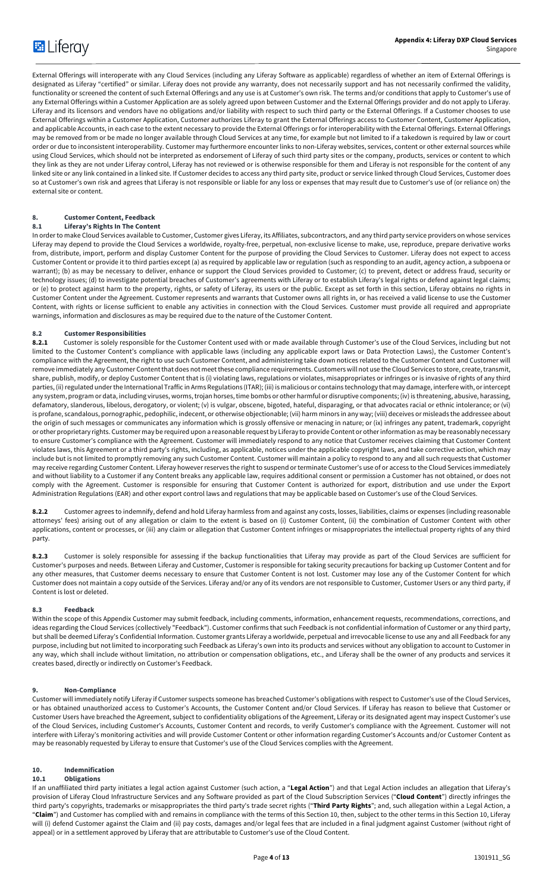External Offerings will interoperate with any Cloud Services (including any Liferay Software as applicable) regardless of whether an item of External Offerings is designated as Liferay "certified" or similar. Liferay does not provide any warranty, does not necessarily support and has not necessarily confirmed the validity, functionality or screened the content of such External Offerings and any use is at Customer's own risk. The terms and/or conditions that apply to Customer's use of any External Offerings within a Customer Application are as solely agreed upon between Customer and the External Offerings provider and do not apply to Liferay. Liferay and its licensors and vendors have no obligations and/or liability with respect to such third party or the External Offerings. If a Customer chooses to use External Offerings within a Customer Application, Customer authorizes Liferay to grant the External Offerings access to Customer Content, Customer Application, and applicable Accounts, in each case to the extent necessary to provide the External Offerings or for interoperability with the External Offerings. External Offerings may be removed from or be made no longer available through Cloud Services at any time, for example but not limited to if a takedown is required by law or court order or due to inconsistent interoperability. Customer may furthermore encounter links to non-Liferay websites, services, content or other external sources while using Cloud Services, which should not be interpreted as endorsement of Liferay of such third party sites or the company, products, services or content to which they link as they are not under Liferay control, Liferay has not reviewed or is otherwise responsible for them and Liferay is not responsible for the content of any linked site or any link contained in a linked site. If Customer decides to access any third party site, product or service linked through Cloud Services, Customer does so at Customer's own risk and agrees that Liferay is not responsible or liable for any loss or expenses that may result due to Customer's use of (or reliance on) the external site or content.

# **8. Customer Content, Feedback**

# **8.1 Liferay's Rights In The Content**

In order to make Cloud Services available to Customer, Customer gives Liferay, its Affiliates, subcontractors, and any third party service providers on whose services Liferay may depend to provide the Cloud Services a worldwide, royalty-free, perpetual, non-exclusive license to make, use, reproduce, prepare derivative works from, distribute, import, perform and display Customer Content for the purpose of providing the Cloud Services to Customer. Liferay does not expect to access Customer Content or provide it to third parties except (a) as required by applicable law or regulation (such as responding to an audit, agency action, a subpoena or warrant); (b) as may be necessary to deliver, enhance or support the Cloud Services provided to Customer; (c) to prevent, detect or address fraud, security or technology issues; (d) to investigate potential breaches of Customer's agreements with Liferay or to establish Liferay's legal rights or defend against legal claims; or (e) to protect against harm to the property, rights, or safety of Liferay, its users or the public. Except as set forth in this section, Liferay obtains no rights in Customer Content under the Agreement. Customer represents and warrants that Customer owns all rights in, or has received a valid license to use the Customer Content, with rights or license sufficient to enable any activities in connection with the Cloud Services. Customer must provide all required and appropriate warnings, information and disclosures as may be required due to the nature of the Customer Content.

# **8.2 Customer Responsibilities**

**8.2.1** Customer is solely responsible for the Customer Content used with or made available through Customer's use of the Cloud Services, including but not limited to the Customer Content's compliance with applicable laws (including any applicable export laws or Data Protection Laws), the Customer Content's compliance with the Agreement, the right to use such Customer Content, and administering take down notices related to the Customer Content and Customer will remove immediately any Customer Content that does not meet these compliance requirements. Customers will not use the Cloud Services to store, create, transmit, share, publish, modify, or deploy Customer Content that is (i) violating laws, regulations or violates, misappropriates or infringes or is invasive of rights of any third parties, (ii) regulated under the International Traffic in Arms Regulations (ITAR); (iii) is malicious or contains technology that may damage, interfere with, or intercept any system, program or data, including viruses, worms, trojan horses, time bombs or other harmful or disruptive components; (iv) is threatening, abusive, harassing, defamatory, slanderous, libelous, derogatory, or violent; (v) is vulgar, obscene, bigoted, hateful, disparaging, or that advocates racial or ethnic intolerance; or (vi) is profane, scandalous, pornographic, pedophilic, indecent, or otherwise objectionable; (vii) harm minors in any way; (viii) deceives or misleads the addressee about the origin of such messages or communicates any information which is grossly offensive or menacing in nature; or (ix) infringes any patent, trademark, copyright or other proprietary rights. Customer may be required upon a reasonable request by Liferay to provide Content or other information as may be reasonably necessary to ensure Customer's compliance with the Agreement. Customer will immediately respond to any notice that Customer receives claiming that Customer Content violates laws, this Agreement or a third party's rights, including, as applicable, notices under the applicable copyright laws, and take corrective action, which may include but is not limited to promptly removing any such Customer Content. Customer will maintain a policy to respond to any and all such requests that Customer may receive regarding Customer Content. Liferay however reserves the right to suspend or terminate Customer's use of or access to the Cloud Services immediately and without liability to a Customer if any Content breaks any applicable law, requires additional consent or permission a Customer has not obtained, or does not comply with the Agreement. Customer is responsible for ensuring that Customer Content is authorized for export, distribution and use under the Export Administration Regulations (EAR) and other export control laws and regulations that may be applicable based on Customer's use of the Cloud Services.

**8.2.2** Customer agrees to indemnify, defend and hold Liferay harmless from and against any costs, losses, liabilities, claims or expenses (including reasonable attorneys' fees) arising out of any allegation or claim to the extent is based on (i) Customer Content, (ii) the combination of Customer Content with other applications, content or processes, or (iii) any claim or allegation that Customer Content infringes or misappropriates the intellectual property rights of any third party.

8.2.3 Customer is solely responsible for assessing if the backup functionalities that Liferay may provide as part of the Cloud Services are sufficient for Customer's purposes and needs. Between Liferay and Customer, Customer is responsible for taking security precautions for backing up Customer Content and for any other measures, that Customer deems necessary to ensure that Customer Content is not lost. Customer may lose any of the Customer Content for which Customer does not maintain a copy outside of the Services. Liferay and/or any of its vendors are not responsible to Customer, Customer Users or any third party, if Content is lost or deleted.

# **8.3 Feedback**

Within the scope of this Appendix Customer may submit feedback, including comments, information, enhancement requests, recommendations, corrections, and ideas regarding the Cloud Services (collectively "Feedback"). Customer confirms that such Feedback is not confidential information of Customer or any third party, but shall be deemed Liferay's Confidential Information. Customer grants Liferay a worldwide, perpetual and irrevocable license to use any and all Feedback for any purpose, including but not limited to incorporating such Feedback as Liferay's own into its products and services without any obligation to account to Customer in any way, which shall include without limitation, no attribution or compensation obligations, etc., and Liferay shall be the owner of any products and services it creates based, directly or indirectly on Customer's Feedback.

# **9. Non-Compliance**

Customer will immediately notify Liferay if Customer suspects someone has breached Customer's obligations with respect to Customer's use of the Cloud Services, or has obtained unauthorized access to Customer's Accounts, the Customer Content and/or Cloud Services. If Liferay has reason to believe that Customer or Customer Users have breached the Agreement, subject to confidentiality obligations of the Agreement, Liferay or its designated agent may inspect Customer's use of the Cloud Services, including Customer's Accounts, Customer Content and records, to verify Customer's compliance with the Agreement. Customer will not interfere with Liferay's monitoring activities and will provide Customer Content or other information regarding Customer's Accounts and/or Customer Content as may be reasonably requested by Liferay to ensure that Customer's use of the Cloud Services complies with the Agreement.

# **10. Indemnification**

# **10.1 Obligations**

If an unaffiliated third party initiates a legal action against Customer (such action, a "**Legal Action**") and that Legal Action includes an allegation that Liferay's provision of Liferay Cloud Infrastructure Services and any Software provided as part of the Cloud Subscription Services ("**Cloud Content**") directly infringes the third party's copyrights, trademarks or misappropriates the third party's trade secret rights ("**Third Party Rights**"; and, such allegation within a Legal Action, a "**Claim**") and Customer has complied with and remains in compliance with the terms of this Section 10, then, subject to the other terms in this Section 10, Liferay will (i) defend Customer against the Claim and (ii) pay costs, damages and/or legal fees that are included in a final judgment against Customer (without right of appeal) or in a settlement approved by Liferay that are attributable to Customer's use of the Cloud Content.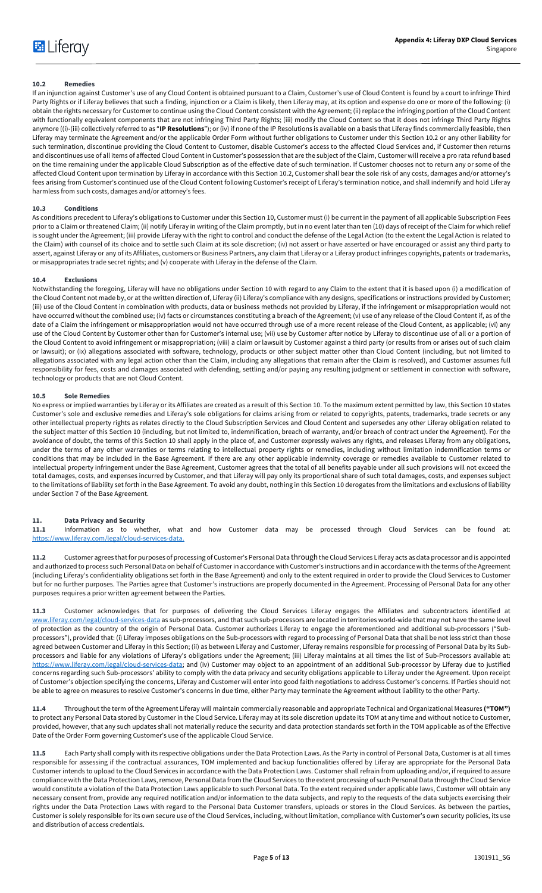# **10.2 Remedies**

If an injunction against Customer's use of any Cloud Content is obtained pursuant to a Claim, Customer's use of Cloud Content is found by a court to infringe Third Party Rights or if Liferay believes that such a finding, injunction or a Claim is likely, then Liferay may, at its option and expense do one or more of the following: (i) obtain the rights necessary for Customer to continue using the Cloud Content consistent with the Agreement; (ii) replace the infringing portion of the Cloud Content with functionally equivalent components that are not infringing Third Party Rights; (iii) modify the Cloud Content so that it does not infringe Third Party Rights anymore ((i)-(iii) collectively referred to as "**IP Resolutions**"); or (iv) if none of the IP Resolutions is available on a basis that Liferay finds commercially feasible, then Liferay may terminate the Agreement and/or the applicable Order Form without further obligations to Customer under this Section 10.2 or any other liability for such termination, discontinue providing the Cloud Content to Customer, disable Customer's access to the affected Cloud Services and, if Customer then returns and discontinues use of all items of affected Cloud Content in Customer's possession that are the subject of the Claim, Customer will receive a pro rata refund based on the time remaining under the applicable Cloud Subscription as of the effective date of such termination. If Customer chooses not to return any or some of the affected Cloud Content upon termination by Liferay in accordance with this Section 10.2, Customer shall bear the sole risk of any costs, damages and/or attorney's fees arising from Customer's continued use of the Cloud Content following Customer's receipt of Liferay's termination notice, and shall indemnify and hold Liferay harmless from such costs, damages and/or attorney's fees.

#### **10.3 Conditions**

As conditions precedent to Liferay's obligations to Customer under this Section 10, Customer must (i) be current in the payment of all applicable Subscription Fees prior to a Claim or threatened Claim; (ii) notify Liferay in writing of the Claim promptly, but in no event later than ten (10) days of receipt of the Claim for which relief is sought under the Agreement; (iii) provide Liferay with the right to control and conduct the defense of the Legal Action (to the extent the Legal Action is related to the Claim) with counsel of its choice and to settle such Claim at its sole discretion; (iv) not assert or have asserted or have encouraged or assist any third party to assert, against Liferay or any of its Affiliates, customers or Business Partners, any claim that Liferay or a Liferay product infringes copyrights, patents or trademarks, or misappropriates trade secret rights; and (v) cooperate with Liferay in the defense of the Claim.

#### **10.4 Exclusions**

Notwithstanding the foregoing, Liferay will have no obligations under Section 10 with regard to any Claim to the extent that it is based upon (i) a modification of the Cloud Content not made by, or at the written direction of, Liferay (ii) Liferay's compliance with any designs, specifications or instructions provided by Customer; (iii) use of the Cloud Content in combination with products, data or business methods not provided by Liferay, if the infringement or misappropriation would not have occurred without the combined use; (iv) facts or circumstances constituting a breach of the Agreement; (v) use of any release of the Cloud Content if, as of the date of a Claim the infringement or misappropriation would not have occurred through use of a more recent release of the Cloud Content, as applicable; (vi) any use of the Cloud Content by Customer other than for Customer's internal use; (vii) use by Customer after notice by Liferay to discontinue use of all or a portion of the Cloud Content to avoid infringement or misappropriation; (viii) a claim or lawsuit by Customer against a third party (or results from or arises out of such claim or lawsuit); or (ix) allegations associated with software, technology, products or other subject matter other than Cloud Content (including, but not limited to allegations associated with any legal action other than the Claim, including any allegations that remain after the Claim is resolved), and Customer assumes full responsibility for fees, costs and damages associated with defending, settling and/or paying any resulting judgment or settlement in connection with software, technology or products that are not Cloud Content.

#### **10.5 Sole Remedies**

No express or implied warranties by Liferay or its Affiliates are created as a result of this Section 10. To the maximum extent permitted by law, this Section 10 states Customer's sole and exclusive remedies and Liferay's sole obligations for claims arising from or related to copyrights, patents, trademarks, trade secrets or any other intellectual property rights as relates directly to the Cloud Subscription Services and Cloud Content and supersedes any other Liferay obligation related to the subject matter of this Section 10 (including, but not limited to, indemnification, breach of warranty, and/or breach of contract under the Agreement). For the avoidance of doubt, the terms of this Section 10 shall apply in the place of, and Customer expressly waives any rights, and releases Liferay from any obligations, under the terms of any other warranties or terms relating to intellectual property rights or remedies, including without limitation indemnification terms or conditions that may be included in the Base Agreement. If there are any other applicable indemnity coverage or remedies available to Customer related to intellectual property infringement under the Base Agreement, Customer agrees that the total of all benefits payable under all such provisions will not exceed the total damages, costs, and expenses incurred by Customer, and that Liferay will pay only its proportional share of such total damages, costs, and expenses subject to the limitations of liability set forth in the Base Agreement. To avoid any doubt, nothing in this Section 10 derogates from the limitations and exclusions of liability under Section 7 of the Base Agreement.

# **11. Data Privacy and Security**

**11.1** Information as to whether, what and how Customer data may be processed through Cloud Services can be found at: https://www.liferay.com/legal/cloud-services-data.

**11.2** Customer agrees that for purposes of processing of Customer's Personal Data throughthe Cloud Services Liferay acts as data processor and is appointed and authorized to process such Personal Data on behalf of Customer in accordance with Customer's instructions and in accordance with the terms of the Agreement (including Liferay's confidentiality obligations set forth in the Base Agreement) and only to the extent required in order to provide the Cloud Services to Customer but for no further purposes. The Parties agree that Customer's instructions are properly documented in the Agreement. Processing of Personal Data for any other purposes requires a prior written agreement between the Parties.

**11.3** Customer acknowledges that for purposes of delivering the Cloud Services Liferay engages the Affiliates and subcontractors identified at www.liferay.com/legal/cloud-services-data as sub-processors, and that such sub-processors are located in territories world-wide that may not have the same level of protection as the country of the origin of Personal Data. Customer authorizes Liferay to engage the aforementioned and additional sub-processors ("Subprocessors"), provided that: (i) Liferay imposes obligations on the Sub-processors with regard to processing of Personal Data that shall be not less strict than those agreed between Customer and Liferay in this Section; (ii) as between Liferay and Customer, Liferay remains responsible for processing of Personal Data by its Subprocessors and liable for any violations of Liferay's obligations under the Agreement; (iii) Liferay maintains at all times the list of Sub-Processors available at: https://www.liferay.com/legal/cloud-services-data; and (iv) Customer may object to an appointment of an additional Sub-processor by Liferay due to justified concerns regarding such Sub-processors' ability to comply with the data privacy and security obligations applicable to Liferay under the Agreement. Upon receipt of Customer's objection specifying the concerns, Liferay and Customer will enter into good faith negotiations to address Customer's concerns. If Parties should not be able to agree on measures to resolve Customer's concerns in due time, either Party may terminate the Agreement without liability to the other Party.

**11.4** Throughout the term of the Agreement Liferay will maintain commercially reasonable and appropriate Technical and Organizational Measures **("TOM")**  to protect any Personal Data stored by Customer in the Cloud Service. Liferay may at its sole discretion update its TOM at any time and without notice to Customer, provided, however, that any such updates shall not materially reduce the security and data protection standards set forth in the TOM applicable as of the Effective Date of the Order Form governing Customer's use of the applicable Cloud Service.

**11.5** Each Party shall comply with its respective obligations under the Data Protection Laws. As the Party in control of Personal Data, Customer is at all times responsible for assessing if the contractual assurances, TOM implemented and backup functionalities offered by Liferay are appropriate for the Personal Data Customer intends to upload to the Cloud Services in accordance with the Data Protection Laws. Customer shall refrain from uploading and/or, if required to assure compliance with the Data Protection Laws, remove, Personal Data from the Cloud Services to the extent processing of such Personal Data through the Cloud Service would constitute a violation of the Data Protection Laws applicable to such Personal Data. To the extent required under applicable laws, Customer will obtain any necessary consent from, provide any required notification and/or information to the data subjects, and reply to the requests of the data subjects exercising their rights under the Data Protection Laws with regard to the Personal Data Customer transfers, uploads or stores in the Cloud Services. As between the parties, Customer is solely responsible for its own secure use of the Cloud Services, including, without limitation, compliance with Customer's own security policies, its use and distribution of access credentials.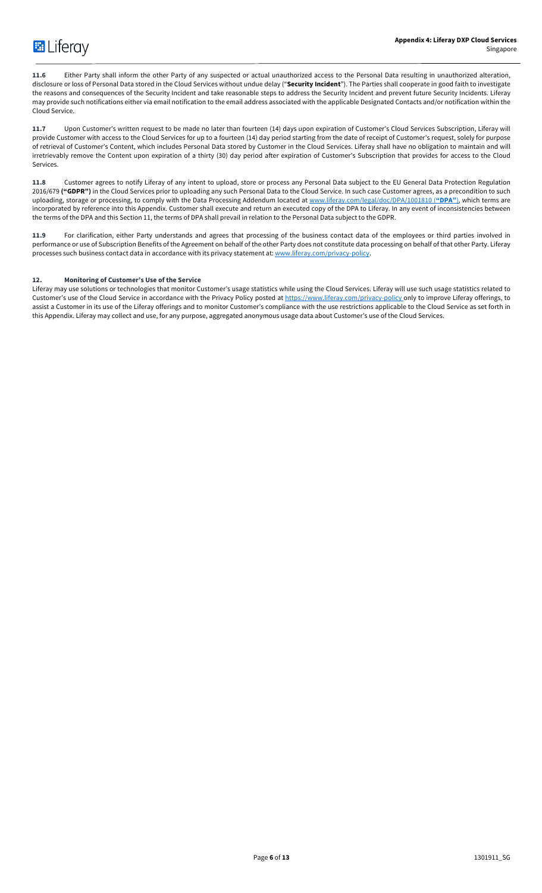

**11.6** Either Party shall inform the other Party of any suspected or actual unauthorized access to the Personal Data resulting in unauthorized alteration, disclosure or loss of Personal Data stored in the Cloud Services without undue delay ("**Security Incident**"). The Parties shall cooperate in good faith to investigate the reasons and consequences of the Security Incident and take reasonable steps to address the Security Incident and prevent future Security Incidents. Liferay may provide such notifications either via email notification to the email address associated with the applicable Designated Contacts and/or notification within the Cloud Service.

**11.7** Upon Customer's written request to be made no later than fourteen (14) days upon expiration of Customer's Cloud Services Subscription, Liferay will provide Customer with access to the Cloud Services for up to a fourteen (14) day period starting from the date of receipt of Customer's request, solely for purpose of retrieval of Customer's Content, which includes Personal Data stored by Customer in the Cloud Services. Liferay shall have no obligation to maintain and will irretrievably remove the Content upon expiration of a thirty (30) day period after expiration of Customer's Subscription that provides for access to the Cloud Services.

**11.8** Customer agrees to notify Liferay of any intent to upload, store or process any Personal Data subject to the EU General Data Protection Regulation 2016/679 ("GDPR") in the Cloud Services prior to uploading any such Personal Data to the Cloud Service. In such case Customer agrees, as a precondition to such uploading, storage or processing, to comply with the Data Processing Addendum located at www.liferay.com/legal/doc/DPA/1001810 (**"DPA"**), which terms are incorporated by reference into this Appendix. Customer shall execute and return an executed copy of the DPA to Liferay. In any event of inconsistencies between the terms of the DPA and this Section 11, the terms of DPA shall prevail in relation to the Personal Data subject to the GDPR.

**11.9** For clarification, either Party understands and agrees that processing of the business contact data of the employees or third parties involved in performance or use of Subscription Benefits of the Agreement on behalf of the other Party does not constitute data processing on behalf of that other Party. Liferay processes such business contact data in accordance with its privacy statement at: www.liferay.com/privacy-policy.

# **12. Monitoring of Customer's Use of the Service**

Liferay may use solutions or technologies that monitor Customer's usage statistics while using the Cloud Services. Liferay will use such usage statistics related to Customer's use of the Cloud Service in accordance with the Privacy Policy posted at https://www.liferay.com/privacy-policy only to improve Liferay offerings, to assist a Customer in its use of the Liferay offerings and to monitor Customer's compliance with the use restrictions applicable to the Cloud Service as set forth in this Appendix. Liferay may collect and use, for any purpose, aggregated anonymous usage data about Customer's use of the Cloud Services.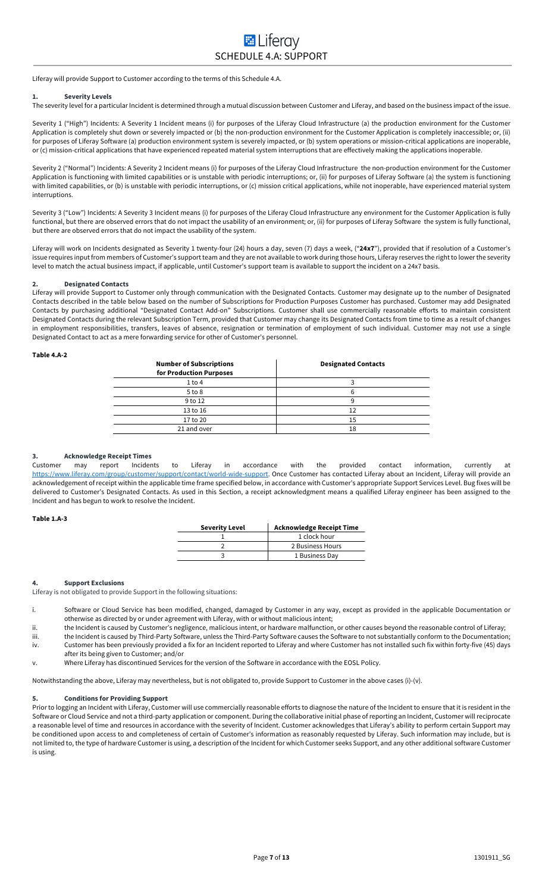Liferay will provide Support to Customer according to the terms of this Schedule 4.A.

#### **1. Severity Levels**

The severity level for a particular Incident is determined through a mutual discussion between Customer and Liferay, and based on the business impact of the issue.

Severity 1 ("High") Incidents: A Severity 1 Incident means (i) for purposes of the Liferay Cloud Infrastructure (a) the production environment for the Customer Application is completely shut down or severely impacted or (b) the non-production environment for the Customer Application is completely inaccessible; or, (ii) for purposes of Liferay Software (a) production environment system is severely impacted, or (b) system operations or mission-critical applications are inoperable, or (c) mission-critical applications that have experienced repeated material system interruptions that are effectively making the applications inoperable.

Severity 2 ("Normal") Incidents: A Severity 2 Incident means (i) for purposes of the Liferay Cloud Infrastructure the non-production environment for the Customer Application is functioning with limited capabilities or is unstable with periodic interruptions; or, (ii) for purposes of Liferay Software (a) the system is functioning with limited capabilities, or (b) is unstable with periodic interruptions, or (c) mission critical applications, while not inoperable, have experienced material system interruptions.

Severity 3 ("Low") Incidents: A Severity 3 Incident means (i) for purposes of the Liferay Cloud Infrastructure any environment for the Customer Application is fully functional, but there are observed errors that do not impact the usability of an environment; or, (ii) for purposes of Liferay Software the system is fully functional, but there are observed errors that do not impact the usability of the system.

Liferay will work on Incidents designated as Severity 1 twenty-four (24) hours a day, seven (7) days a week, ("**24x7**"), provided that if resolution of a Customer's issue requires input from members of Customer's support team and they are not available to work during those hours, Liferay reserves the right to lower the severity level to match the actual business impact, if applicable, until Customer's support team is available to support the incident on a 24x7 basis.

#### **2. Designated Contacts**

Liferay will provide Support to Customer only through communication with the Designated Contacts. Customer may designate up to the number of Designated Contacts described in the table below based on the number of Subscriptions for Production Purposes Customer has purchased. Customer may add Designated Contacts by purchasing additional "Designated Contact Add-on" Subscriptions. Customer shall use commercially reasonable efforts to maintain consistent Designated Contacts during the relevant Subscription Term, provided that Customer may change its Designated Contacts from time to time as a result of changes in employment responsibilities, transfers, leaves of absence, resignation or termination of employment of such individual. Customer may not use a single Designated Contact to act as a mere forwarding service for other of Customer's personnel.

#### **Table 4.A-2**

| <b>Number of Subscriptions</b><br>for Production Purposes | <b>Designated Contacts</b> |
|-----------------------------------------------------------|----------------------------|
| $1$ to $4$                                                |                            |
| $5$ to $8$                                                |                            |
| 9 to 12                                                   |                            |
| 13 to 16                                                  | 12                         |
| 17 to 20                                                  | 15                         |
| 21 and over                                               | 18                         |

# **3. Acknowledge Receipt Times**

Customer may report Incidents to Liferay in accordance with the provided contact information, currently at https://www.liferay.com/group/customer/support/contact/world-wide-support. Once Customer has contacted Liferay about an Incident, Liferay will provide an acknowledgement of receipt within the applicable time frame specified below, in accordance with Customer's appropriate Support Services Level. Bug fixes will be delivered to Customer's Designated Contacts. As used in this Section, a receipt acknowledgment means a qualified Liferay engineer has been assigned to the Incident and has begun to work to resolve the Incident.

# **Table 1.A-3**

| <b>Severity Level</b> | <b>Acknowledge Receipt Time</b> |
|-----------------------|---------------------------------|
|                       | 1 clock hour                    |
|                       | 2 Business Hours                |
|                       | 1 Business Day                  |

#### **4. Support Exclusions**

Liferay is not obligated to provide Support in the following situations:

- i. Software or Cloud Service has been modified, changed, damaged by Customer in any way, except as provided in the applicable Documentation or otherwise as directed by or under agreement with Liferay, with or without malicious intent;
- ii. the Incident is caused by Customer's negligence, malicious intent, or hardware malfunction, or other causes beyond the reasonable control of Liferay;
- iii. the Incident is caused by Third-Party Software, unless the Third-Party Software causes the Software to not substantially conform to the Documentation; iv. Customer has been previously provided a fix for an Incident reported to Liferay and where Customer has not installed such fix within forty-five (45) days
- after its being given to Customer; and/or v. Where Liferay has discontinued Services for the version of the Software in accordance with the EOSL Policy.
- 

Notwithstanding the above, Liferay may nevertheless, but is not obligated to, provide Support to Customer in the above cases (i)-(v).

# **5. Conditions for Providing Support**

Prior to logging an Incident with Liferay, Customer will use commercially reasonable efforts to diagnose the nature of the Incident to ensure that it is resident in the Software or Cloud Service and not a third-party application or component. During the collaborative initial phase of reporting an Incident, Customer will reciprocate a reasonable level of time and resources in accordance with the severity of Incident. Customer acknowledges that Liferay's ability to perform certain Support may be conditioned upon access to and completeness of certain of Customer's information as reasonably requested by Liferay. Such information may include, but is not limited to, the type of hardware Customer is using, a description of the Incident for which Customer seeks Support, and any other additional software Customer is using.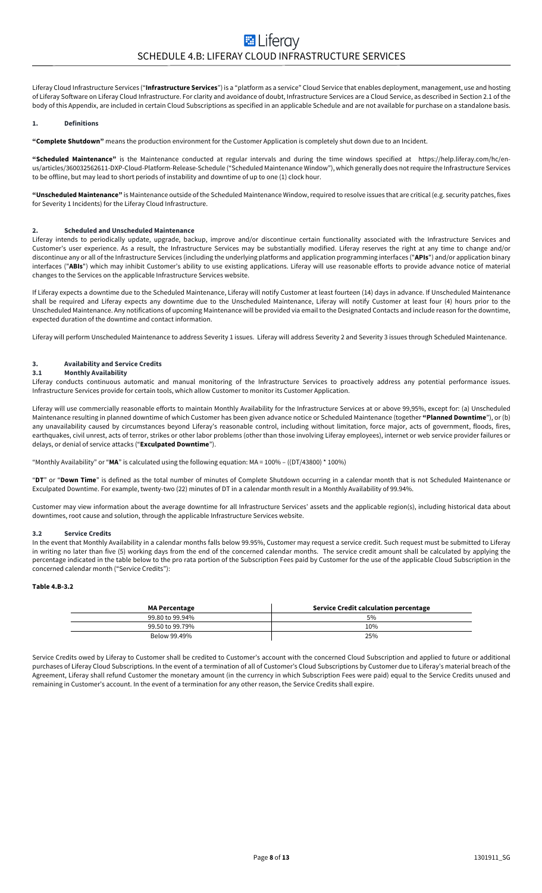Liferay Cloud Infrastructure Services ("**Infrastructure Services**") is a "platform as a service" Cloud Service that enables deployment, management, use and hosting of Liferay Software on Liferay Cloud Infrastructure. For clarity and avoidance of doubt, Infrastructure Services are a Cloud Service, as described in Section 2.1 of the body of this Appendix, are included in certain Cloud Subscriptions as specified in an applicable Schedule and are not available for purchase on a standalone basis.

#### **1. Definitions**

**"Complete Shutdown"** means the production environment for the Customer Application is completely shut down due to an Incident.

**"Scheduled Maintenance"** is the Maintenance conducted at regular intervals and during the time windows specified at https://help.liferay.com/hc/enus/articles/360032562611-DXP-Cloud-Platform-Release-Schedule ("Scheduled Maintenance Window"), which generally does not require the Infrastructure Services to be offline, but may lead to short periods of instability and downtime of up to one (1) clock hour.

**"Unscheduled Maintenance"** is Maintenance outside of the Scheduled Maintenance Window, required to resolve issues that are critical (e.g. security patches, fixes for Severity 1 Incidents) for the Liferay Cloud Infrastructure.

#### **2. Scheduled and Unscheduled Maintenance**

Liferay intends to periodically update, upgrade, backup, improve and/or discontinue certain functionality associated with the Infrastructure Services and Customer's user experience. As a result, the Infrastructure Services may be substantially modified. Liferay reserves the right at any time to change and/or discontinue any or all of the Infrastructure Services (including the underlying platforms and application programming interfaces ("**APIs**") and/or application binary interfaces ("**ABIs**") which may inhibit Customer's ability to use existing applications. Liferay will use reasonable efforts to provide advance notice of material changes to the Services on the applicable Infrastructure Services website.

If Liferay expects a downtime due to the Scheduled Maintenance, Liferay will notify Customer at least fourteen (14) days in advance. If Unscheduled Maintenance shall be required and Liferay expects any downtime due to the Unscheduled Maintenance, Liferay will notify Customer at least four (4) hours prior to the Unscheduled Maintenance. Any notifications of upcoming Maintenance will be provided via email to the Designated Contacts and include reason for the downtime, expected duration of the downtime and contact information.

Liferay will perform Unscheduled Maintenance to address Severity 1 issues. Liferay will address Severity 2 and Severity 3 issues through Scheduled Maintenance.

# **3. Availability and Service Credits**

## **3.1 Monthly Availability**

Liferay conducts continuous automatic and manual monitoring of the Infrastructure Services to proactively address any potential performance issues. Infrastructure Services provide for certain tools, which allow Customer to monitor its Customer Application.

Liferay will use commercially reasonable efforts to maintain Monthly Availability for the Infrastructure Services at or above 99,95%, except for: (a) Unscheduled Maintenance resulting in planned downtime of which Customer has been given advance notice or Scheduled Maintenance (together **"Planned Downtime**"), or (b) any unavailability caused by circumstances beyond Liferay's reasonable control, including without limitation, force major, acts of government, floods, fires, earthquakes, civil unrest, acts of terror, strikes or other labor problems (other than those involving Liferay employees), internet or web service provider failures or delays, or denial of service attacks ("**Exculpated Downtime**").

"Monthly Availability" or "**MA**" is calculated using the following equation: MA = 100% – ((DT/43800) \* 100%)

"**DT**" or "**Down Time**" is defined as the total number of minutes of Complete Shutdown occurring in a calendar month that is not Scheduled Maintenance or Exculpated Downtime. For example, twenty-two (22) minutes of DT in a calendar month result in a Monthly Availability of 99.94%.

Customer may view information about the average downtime for all Infrastructure Services' assets and the applicable region(s), including historical data about downtimes, root cause and solution, through the applicable Infrastructure Services website.

#### **3.2 Service Credits**

In the event that Monthly Availability in a calendar months falls below 99.95%, Customer may request a service credit. Such request must be submitted to Liferay in writing no later than five (5) working days from the end of the concerned calendar months. The service credit amount shall be calculated by applying the percentage indicated in the table below to the pro rata portion of the Subscription Fees paid by Customer for the use of the applicable Cloud Subscription in the concerned calendar month ("Service Credits"):

# **Table 4.B-3.2**

| <b>MA Percentage</b> | Service Credit calculation percentage |
|----------------------|---------------------------------------|
| 99.80 to 99.94%      | 5%                                    |
| 99.50 to 99.79%      | 10%                                   |
| Below 99.49%         | 25%                                   |

Service Credits owed by Liferay to Customer shall be credited to Customer's account with the concerned Cloud Subscription and applied to future or additional purchases of Liferay Cloud Subscriptions. In the event of a termination of all of Customer's Cloud Subscriptions by Customer due to Liferay's material breach of the Agreement, Liferay shall refund Customer the monetary amount (in the currency in which Subscription Fees were paid) equal to the Service Credits unused and remaining in Customer's account. In the event of a termination for any other reason, the Service Credits shall expire.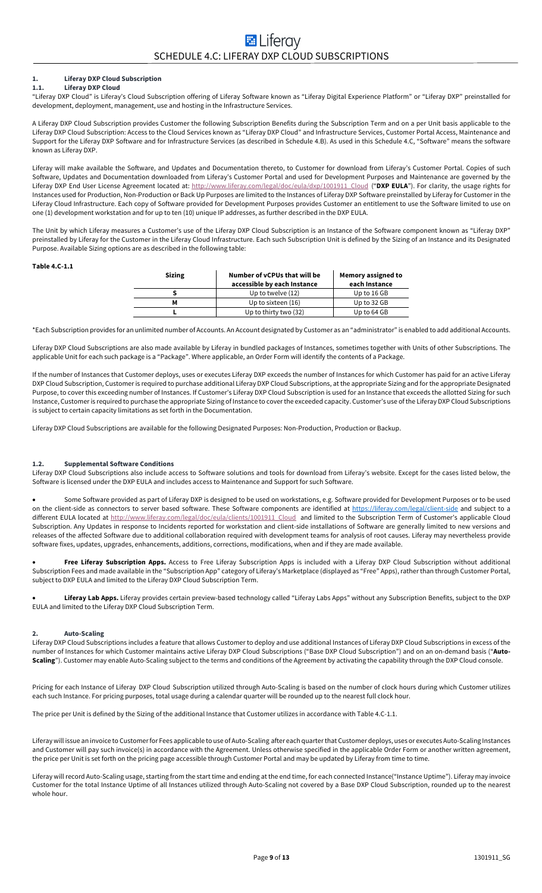# **1. Liferay DXP Cloud Subscription**

# **1.1. Liferay DXP Cloud**

"Liferay DXP Cloud" is Liferay's Cloud Subscription offering of Liferay Software known as "Liferay Digital Experience Platform" or "Liferay DXP" preinstalled for development, deployment, management, use and hosting in the Infrastructure Services.

A Liferay DXP Cloud Subscription provides Customer the following Subscription Benefits during the Subscription Term and on a per Unit basis applicable to the Liferay DXP Cloud Subscription: Access to the Cloud Services known as "Liferay DXP Cloud" and Infrastructure Services, Customer Portal Access, Maintenance and Support for the Liferay DXP Software and for Infrastructure Services (as described in Schedule 4.B). As used in this Schedule 4.C, "Software" means the software known as Liferay DXP.

Liferay will make available the Software, and Updates and Documentation thereto, to Customer for download from Liferay's Customer Portal. Copies of such Software, Updates and Documentation downloaded from Liferay's Customer Portal and used for Development Purposes and Maintenance are governed by the Liferay DXP End User License Agreement located at: http://www.liferay.com/legal/doc/eula/dxp/1001911\_Cloud ("**DXP EULA**"). For clarity, the usage rights for Instances used for Production, Non-Production or Back Up Purposes are limited to the Instances of Liferay DXP Software preinstalled by Liferay for Customer in the Liferay Cloud Infrastructure. Each copy of Software provided for Development Purposes provides Customer an entitlement to use the Software limited to use on one (1) development workstation and for up to ten (10) unique IP addresses, as further described in the DXP EULA.

The Unit by which Liferay measures a Customer's use of the Liferay DXP Cloud Subscription is an Instance of the Software component known as "Liferay DXP" preinstalled by Liferay for the Customer in the Liferay Cloud Infrastructure. Each such Subscription Unit is defined by the Sizing of an Instance and its Designated Purpose. Available Sizing options are as described in the following table:

#### **Table 4.C-1.1**

| <b>Sizing</b> | Number of vCPUs that will be<br>accessible by each Instance | Memory assigned to<br>each Instance |
|---------------|-------------------------------------------------------------|-------------------------------------|
|               | Up to twelve $(12)$                                         | Up to 16 GB                         |
| М             | Up to sixteen (16)<br>Up to 32 GB                           |                                     |
|               | Up to thirty two (32)                                       | Up to 64 GB                         |

\*Each Subscription provides for an unlimited number of Accounts. An Account designated by Customer as an "administrator" is enabled to add additional Accounts.

Liferay DXP Cloud Subscriptions are also made available by Liferay in bundled packages of Instances, sometimes together with Units of other Subscriptions. The applicable Unit for each such package is a "Package". Where applicable, an Order Form will identify the contents of a Package.

If the number of Instances that Customer deploys, uses or executes Liferay DXP exceeds the number of Instances for which Customer has paid for an active Liferay DXP Cloud Subscription, Customer is required to purchase additional Liferay DXP Cloud Subscriptions, at the appropriate Sizing and for the appropriate Designated Purpose, to cover this exceeding number of Instances. If Customer's Liferay DXP Cloud Subscription is used for an Instance that exceeds the allotted Sizing for such Instance, Customer is required to purchase the appropriate Sizing of Instance to cover the exceeded capacity. Customer's use of the Liferay DXP Cloud Subscriptions is subject to certain capacity limitations as set forth in the Documentation.

Liferay DXP Cloud Subscriptions are available for the following Designated Purposes: Non-Production, Production or Backup.

#### **1.2. Supplemental Software Conditions**

Liferay DXP Cloud Subscriptions also include access to Software solutions and tools for download from Liferay's website. Except for the cases listed below, the Software is licensed under the DXP EULA and includes access to Maintenance and Support for such Software.

• Some Software provided as part of Liferay DXP is designed to be used on workstations, e.g. Software provided for Development Purposes or to be used on the client-side as connectors to server based software. These Software components are identified at https://liferay.com/legal/client-side and subject to a different EULA located at http://www.liferay.com/legal/doc/eula/clients/1001911\_Cloud and limited to the Subscription Term of Customer's applicable Cloud Subscription. Any Updates in response to Incidents reported for workstation and client-side installations of Software are generally limited to new versions and releases of the affected Software due to additional collaboration required with development teams for analysis of root causes. Liferay may nevertheless provide software fixes, updates, upgrades, enhancements, additions, corrections, modifications, when and if they are made available.

Free Liferay Subscription Apps. Access to Free Liferay Subscription Apps is included with a Liferay DXP Cloud Subscription without additional Subscription Fees and made available in the "Subscription App" category of Liferay's Marketplace (displayed as "Free" Apps), rather than through Customer Portal, subject to DXP EULA and limited to the Liferay DXP Cloud Subscription Term.

• **Liferay Lab Apps.** Liferay provides certain preview-based technology called "Liferay Labs Apps" without any Subscription Benefits, subject to the DXP EULA and limited to the Liferay DXP Cloud Subscription Term.

# **2. Auto-Scaling**

Liferay DXP Cloud Subscriptions includes a feature that allows Customer to deploy and use additional Instances of Liferay DXP Cloud Subscriptions in excess of the number of Instances for which Customer maintains active Liferay DXP Cloud Subscriptions ("Base DXP Cloud Subscription") and on an on-demand basis ("**Auto-Scaling**"). Customer may enable Auto-Scaling subject to the terms and conditions of the Agreement by activating the capability through the DXP Cloud console.

Pricing for each Instance of Liferay DXP Cloud Subscription utilized through Auto-Scaling is based on the number of clock hours during which Customer utilizes each such Instance. For pricing purposes, total usage during a calendar quarter will be rounded up to the nearest full clock hour.

The price per Unit is defined by the Sizing of the additional Instance that Customer utilizes in accordance with Table 4.C-1.1.

Liferay will issue an invoice to Customerfor Fees applicable to use of Auto-Scaling after each quarter that Customer deploys, uses or executes Auto-Scaling Instances and Customer will pay such invoice(s) in accordance with the Agreement. Unless otherwise specified in the applicable Order Form or another written agreement, the price per Unit is set forth on the pricing page accessible through Customer Portal and may be updated by Liferay from time to time.

Liferay will record Auto-Scaling usage, starting from the start time and ending at the end time, for each connected Instance("Instance Uptime"). Liferay may invoice Customer for the total Instance Uptime of all Instances utilized through Auto-Scaling not covered by a Base DXP Cloud Subscription, rounded up to the nearest whole hour.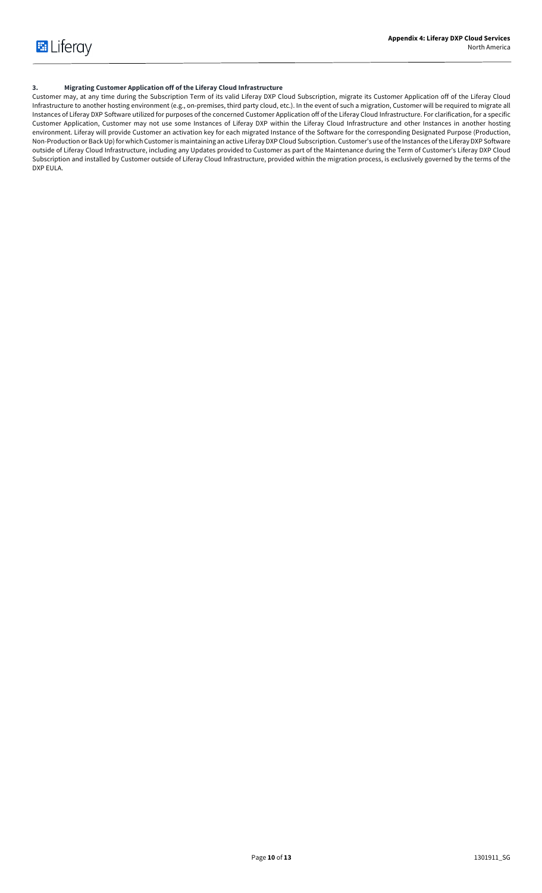# **3. Migrating Customer Application off of the Liferay Cloud Infrastructure**

Customer may, at any time during the Subscription Term of its valid Liferay DXP Cloud Subscription, migrate its Customer Application off of the Liferay Cloud Infrastructure to another hosting environment (e.g., on-premises, third party cloud, etc.). In the event of such a migration, Customer will be required to migrate all Instances of Liferay DXP Software utilized for purposes of the concerned Customer Application off of the Liferay Cloud Infrastructure. For clarification, for a specific Customer Application, Customer may not use some Instances of Liferay DXP within the Liferay Cloud Infrastructure and other Instances in another hosting environment. Liferay will provide Customer an activation key for each migrated Instance of the Software for the corresponding Designated Purpose (Production, Non-Production or BackUp) for which Customer is maintaining an active Liferay DXP Cloud Subscription. Customer's use of the Instances of the Liferay DXP Software outside of Liferay Cloud Infrastructure, including any Updates provided to Customer as part of the Maintenance during the Term of Customer's Liferay DXP Cloud Subscription and installed by Customer outside of Liferay Cloud Infrastructure, provided within the migration process, is exclusively governed by the terms of the DXP EULA.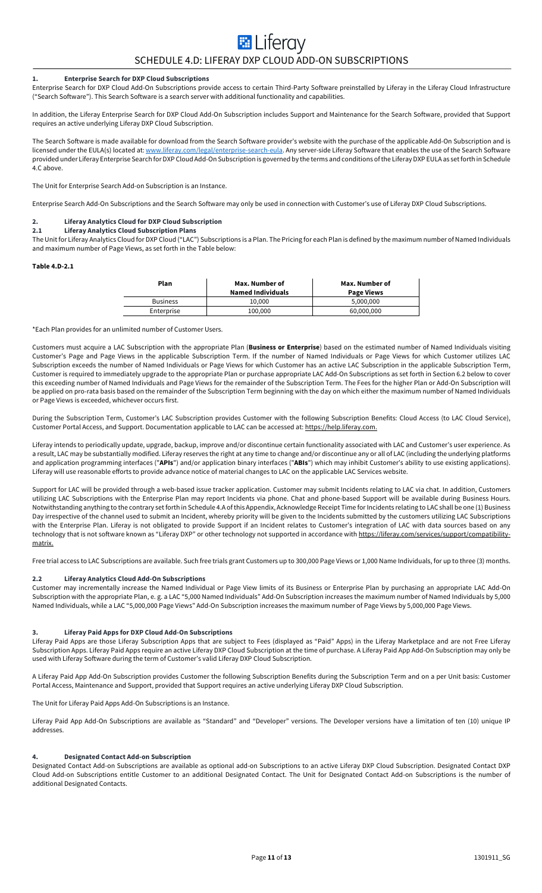# **E** Liferay SCHEDULE 4.D: LIFERAY DXP CLOUD ADD-ON SUBSCRIPTIONS

# **1. Enterprise Search for DXP Cloud Subscriptions**

Enterprise Search for DXP Cloud Add-On Subscriptions provide access to certain Third-Party Software preinstalled by Liferay in the Liferay Cloud Infrastructure ("Search Software"). This Search Software is a search server with additional functionality and capabilities.

In addition, the Liferay Enterprise Search for DXP Cloud Add-On Subscription includes Support and Maintenance for the Search Software, provided that Support requires an active underlying Liferay DXP Cloud Subscription.

The Search Software is made available for download from the Search Software provider's website with the purchase of the applicable Add-On Subscription and is licensed under the EULA(s) located at: www.liferay.com/legal/enterprise-search-eula. Any server-side Liferay Software that enables the use of the Search Software provided under Liferay Enterprise Search for DXP Cloud Add-On Subscription is governed by the terms and conditions of the Liferay DXP EULA as set forth in Schedule 4.C above.

The Unit for Enterprise Search Add-on Subscription is an Instance.

Enterprise Search Add-On Subscriptions and the Search Software may only be used in connection with Customer's use of Liferay DXP Cloud Subscriptions.

# **2. Liferay Analytics Cloud for DXP Cloud Subscription**

#### **2.1 Liferay Analytics Cloud Subscription Plans**

The Unit for Liferay Analytics Cloud for DXP Cloud ("LAC") Subscriptions is a Plan. The Pricing for each Plan is defined by the maximum number of Named Individuals and maximum number of Page Views, as set forth in the Table below:

#### **Table 4.D-2.1**

| Plan            | Max. Number of<br><b>Named Individuals</b> | Max. Number of<br><b>Page Views</b> |
|-----------------|--------------------------------------------|-------------------------------------|
| <b>Business</b> | 10.000                                     | 5.000.000                           |
| Enterprise      | 100,000                                    | 60,000,000                          |

\*Each Plan provides for an unlimited number of Customer Users.

Customers must acquire a LAC Subscription with the appropriate Plan (**Business or Enterprise**) based on the estimated number of Named Individuals visiting Customer's Page and Page Views in the applicable Subscription Term. If the number of Named Individuals or Page Views for which Customer utilizes LAC Subscription exceeds the number of Named Individuals or Page Views for which Customer has an active LAC Subscription in the applicable Subscription Term, Customer is required to immediately upgrade to the appropriate Plan or purchase appropriate LAC Add-On Subscriptions as set forth in Section 6.2 below to cover this exceeding number of Named Individuals and Page Views for the remainder of the Subscription Term. The Fees for the higher Plan or Add-On Subscription will be applied on pro-rata basis based on the remainder of the Subscription Term beginning with the day on which either the maximum number of Named Individuals or Page Views is exceeded, whichever occurs first.

During the Subscription Term, Customer's LAC Subscription provides Customer with the following Subscription Benefits: Cloud Access (to LAC Cloud Service), Customer Portal Access, and Support. Documentation applicable to LAC can be accessed at: https://help.liferay.com.

Liferay intends to periodically update, upgrade, backup, improve and/or discontinue certain functionality associated with LAC and Customer's user experience. As a result, LAC may be substantially modified. Liferay reserves the right at any time to change and/or discontinue any or all of LAC (including the underlying platforms and application programming interfaces ("**APIs**") and/or application binary interfaces ("**ABIs**") which may inhibit Customer's ability to use existing applications). Liferay will use reasonable efforts to provide advance notice of material changes to LAC on the applicable LAC Services website.

Support for LAC will be provided through a web-based issue tracker application. Customer may submit Incidents relating to LAC via chat. In addition, Customers utilizing LAC Subscriptions with the Enterprise Plan may report Incidents via phone. Chat and phone-based Support will be available during Business Hours. Notwithstanding anything to the contrary set forth in Schedule 4.A of this Appendix, Acknowledge Receipt Time for Incidents relating to LAC shall be one (1) Business Day irrespective of the channel used to submit an Incident, whereby priority will be given to the Incidents submitted by the customers utilizing LAC Subscriptions with the Enterprise Plan. Liferay is not obligated to provide Support if an Incident relates to Customer's integration of LAC with data sources based on any technology that is not software known as "Liferay DXP" or other technology not supported in accordance with <u>https://liferay.com/services/support/compatibility-</u> matrix.

Free trial access to LAC Subscriptions are available. Such free trials grant Customers up to 300,000 Page Views or 1,000 Name Individuals, for up to three (3) months.

#### **2.2 Liferay Analytics Cloud Add-On Subscriptions**

Customer may incrementally increase the Named Individual or Page View limits of its Business or Enterprise Plan by purchasing an appropriate LAC Add-On Subscription with the appropriate Plan, e. g. a LAC "5,000 Named Individuals" Add-On Subscription increases the maximum number of Named Individuals by 5,000 Named Individuals, while a LAC "5,000,000 Page Views" Add-On Subscription increases the maximum number of Page Views by 5,000,000 Page Views.

#### **3. Liferay Paid Apps for DXP Cloud Add-On Subscriptions**

Liferay Paid Apps are those Liferay Subscription Apps that are subject to Fees (displayed as "Paid" Apps) in the Liferay Marketplace and are not Free Liferay Subscription Apps. Liferay Paid Apps require an active Liferay DXP Cloud Subscription at the time of purchase. A Liferay Paid App Add-On Subscription may only be used with Liferay Software during the term of Customer's valid Liferay DXP Cloud Subscription.

A Liferay Paid App Add-On Subscription provides Customer the following Subscription Benefits during the Subscription Term and on a per Unit basis: Customer Portal Access, Maintenance and Support, provided that Support requires an active underlying Liferay DXP Cloud Subscription.

The Unit for Liferay Paid Apps Add-On Subscriptions is an Instance.

Liferay Paid App Add-On Subscriptions are available as "Standard" and "Developer" versions. The Developer versions have a limitation of ten (10) unique IP addresses.

#### **4. Designated Contact Add-on Subscription**

Designated Contact Add-on Subscriptions are available as optional add-on Subscriptions to an active Liferay DXP Cloud Subscription. Designated Contact DXP Cloud Add-on Subscriptions entitle Customer to an additional Designated Contact. The Unit for Designated Contact Add-on Subscriptions is the number of additional Designated Contacts.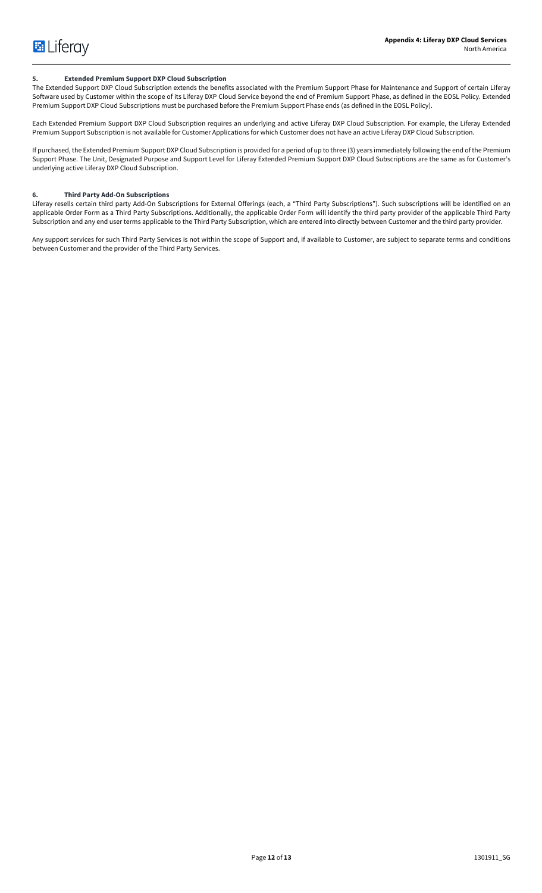# **5. Extended Premium Support DXP Cloud Subscription**

The Extended Support DXP Cloud Subscription extends the benefits associated with the Premium Support Phase for Maintenance and Support of certain Liferay Software used by Customer within the scope of its Liferay DXP Cloud Service beyond the end of Premium Support Phase, as defined in the EOSL Policy. Extended Premium Support DXP Cloud Subscriptions must be purchased before the Premium Support Phase ends (as defined in the EOSL Policy).

Each Extended Premium Support DXP Cloud Subscription requires an underlying and active Liferay DXP Cloud Subscription. For example, the Liferay Extended Premium Support Subscription is not available for Customer Applications for which Customer does not have an active Liferay DXP Cloud Subscription.

If purchased, the Extended Premium Support DXP Cloud Subscription is provided for a period of up to three (3) years immediately following the end of the Premium Support Phase. The Unit, Designated Purpose and Support Level for Liferay Extended Premium Support DXP Cloud Subscriptions are the same as for Customer's underlying active Liferay DXP Cloud Subscription.

## **6. Third Party Add-On Subscriptions**

Liferay resells certain third party Add-On Subscriptions for External Offerings (each, a "Third Party Subscriptions"). Such subscriptions will be identified on an applicable Order Form as a Third Party Subscriptions. Additionally, the applicable Order Form will identify the third party provider of the applicable Third Party Subscription and any end user terms applicable to the Third Party Subscription, which are entered into directly between Customer and the third party provider.

Any support services for such Third Party Services is not within the scope of Support and, if available to Customer, are subject to separate terms and conditions between Customer and the provider of the Third Party Services.